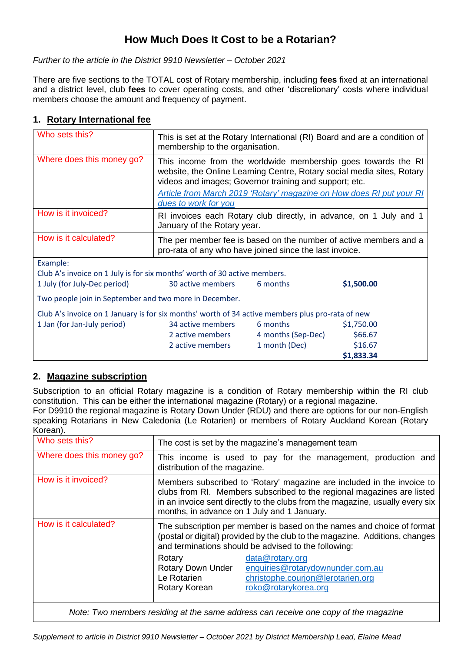# **How Much Does It Cost to be a Rotarian?**

*Further to the article in the District 9910 Newsletter – October 2021*

There are five sections to the TOTAL cost of Rotary membership, including **fees** fixed at an international and a district level, club **fees** to cover operating costs, and other 'discretionary' costs where individual members choose the amount and frequency of payment.

### **1. Rotary International fee**

| Who sets this?                                                                                   | This is set at the Rotary International (RI) Board and are a condition of<br>membership to the organisation.                                                                                      |                        |            |  |
|--------------------------------------------------------------------------------------------------|---------------------------------------------------------------------------------------------------------------------------------------------------------------------------------------------------|------------------------|------------|--|
| Where does this money go?                                                                        | This income from the worldwide membership goes towards the RI<br>website, the Online Learning Centre, Rotary social media sites, Rotary<br>videos and images; Governor training and support; etc. |                        |            |  |
|                                                                                                  | <b>Article from March 2019 'Rotary' magazine on How does RI put your RI</b><br>dues to work for you                                                                                               |                        |            |  |
| How is it invoiced?                                                                              | RI invoices each Rotary club directly, in advance, on 1 July and 1<br>January of the Rotary year.                                                                                                 |                        |            |  |
| How is it calculated?                                                                            | The per member fee is based on the number of active members and a<br>pro-rata of any who have joined since the last invoice.                                                                      |                        |            |  |
| Example:                                                                                         |                                                                                                                                                                                                   |                        |            |  |
| Club A's invoice on 1 July is for six months' worth of 30 active members.                        |                                                                                                                                                                                                   |                        |            |  |
| 1 July (for July-Dec period)                                                                     | 30 active members                                                                                                                                                                                 | 6 months               | \$1,500.00 |  |
| Two people join in September and two more in December.                                           |                                                                                                                                                                                                   |                        |            |  |
| Club A's invoice on 1 January is for six months' worth of 34 active members plus pro-rata of new |                                                                                                                                                                                                   |                        |            |  |
| 1 Jan (for Jan-July period)                                                                      | 34 active members                                                                                                                                                                                 | 6 months of the months | \$1,750.00 |  |
|                                                                                                  | 2 active members                                                                                                                                                                                  | 4 months (Sep-Dec)     | \$66.67    |  |
|                                                                                                  | 2 active members                                                                                                                                                                                  | 1 month (Dec)          | \$16.67    |  |
|                                                                                                  |                                                                                                                                                                                                   |                        | \$1,833.34 |  |

### **2. Magazine subscription**

Subscription to an official Rotary magazine is a condition of Rotary membership within the RI club constitution. This can be either the international magazine (Rotary) or a regional magazine. For D9910 the regional magazine is Rotary Down Under (RDU) and there are options for our non-English speaking Rotarians in New Caledonia (Le Rotarien) or members of Rotary Auckland Korean (Rotary Korean).

| Who sets this?            | The cost is set by the magazine's management team                                                                                                                                                                                                                                |                                                                                                                  |  |
|---------------------------|----------------------------------------------------------------------------------------------------------------------------------------------------------------------------------------------------------------------------------------------------------------------------------|------------------------------------------------------------------------------------------------------------------|--|
| Where does this money go? | distribution of the magazine.                                                                                                                                                                                                                                                    | This income is used to pay for the management, production and                                                    |  |
| How is it invoiced?       | Members subscribed to 'Rotary' magazine are included in the invoice to<br>clubs from RI. Members subscribed to the regional magazines are listed<br>in an invoice sent directly to the clubs from the magazine, usually every six<br>months, in advance on 1 July and 1 January. |                                                                                                                  |  |
| How is it calculated?     | The subscription per member is based on the names and choice of format<br>(postal or digital) provided by the club to the magazine. Additions, changes<br>and terminations should be advised to the following:                                                                   |                                                                                                                  |  |
|                           | Rotary<br><b>Rotary Down Under</b><br>Le Rotarien<br>Rotary Korean                                                                                                                                                                                                               | data@rotary.org<br>enquiries@rotarydownunder.com.au<br>christophe.courjon@lerotarien.org<br>roko@rotarykorea.org |  |
|                           |                                                                                                                                                                                                                                                                                  |                                                                                                                  |  |

*Note: Two members residing at the same address can receive one copy of the magazine*

*Supplement to article in District 9910 Newsletter – October 2021 by District Membership Lead, Elaine Mead*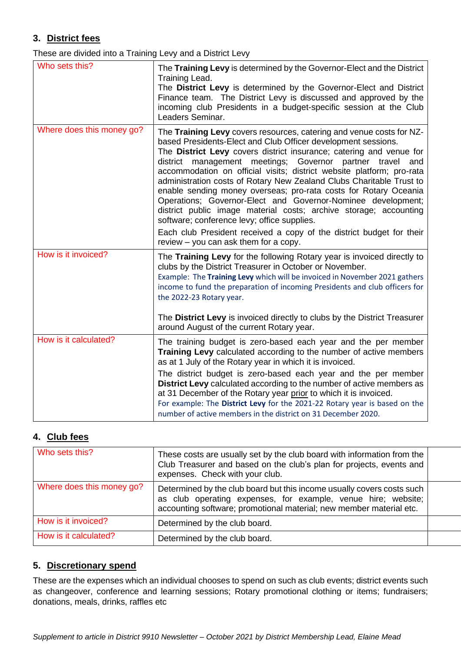## **3. District fees**

These are divided into a Training Levy and a District Levy

| Who sets this?            | The Training Levy is determined by the Governor-Elect and the District<br>Training Lead.<br>The District Levy is determined by the Governor-Elect and District<br>Finance team. The District Levy is discussed and approved by the<br>incoming club Presidents in a budget-specific session at the Club<br>Leaders Seminar.                                                                                                                                                                                                                                                                                                                                                                                                                                                                            |
|---------------------------|--------------------------------------------------------------------------------------------------------------------------------------------------------------------------------------------------------------------------------------------------------------------------------------------------------------------------------------------------------------------------------------------------------------------------------------------------------------------------------------------------------------------------------------------------------------------------------------------------------------------------------------------------------------------------------------------------------------------------------------------------------------------------------------------------------|
| Where does this money go? | The Training Levy covers resources, catering and venue costs for NZ-<br>based Presidents-Elect and Club Officer development sessions.<br>The District Levy covers district insurance; catering and venue for<br>district management meetings; Governor partner travel<br>and<br>accommodation on official visits; district website platform; pro-rata<br>administration costs of Rotary New Zealand Clubs Charitable Trust to<br>enable sending money overseas; pro-rata costs for Rotary Oceania<br>Operations; Governor-Elect and Governor-Nominee development;<br>district public image material costs; archive storage; accounting<br>software; conference levy; office supplies.<br>Each club President received a copy of the district budget for their<br>review - you can ask them for a copy. |
| How is it invoiced?       | The Training Levy for the following Rotary year is invoiced directly to<br>clubs by the District Treasurer in October or November.<br>Example: The Training Levy which will be invoiced in November 2021 gathers<br>income to fund the preparation of incoming Presidents and club officers for<br>the 2022-23 Rotary year.<br>The District Levy is invoiced directly to clubs by the District Treasurer<br>around August of the current Rotary year.                                                                                                                                                                                                                                                                                                                                                  |
| How is it calculated?     | The training budget is zero-based each year and the per member<br>Training Levy calculated according to the number of active members<br>as at 1 July of the Rotary year in which it is invoiced.<br>The district budget is zero-based each year and the per member<br>District Levy calculated according to the number of active members as<br>at 31 December of the Rotary year prior to which it is invoiced.<br>For example: The District Levy for the 2021-22 Rotary year is based on the<br>number of active members in the district on 31 December 2020.                                                                                                                                                                                                                                         |

### **4. Club fees**

| Who sets this?            | These costs are usually set by the club board with information from the<br>Club Treasurer and based on the club's plan for projects, events and<br>expenses. Check with your club.                             |  |
|---------------------------|----------------------------------------------------------------------------------------------------------------------------------------------------------------------------------------------------------------|--|
| Where does this money go? | Determined by the club board but this income usually covers costs such<br>as club operating expenses, for example, venue hire; website;<br>accounting software; promotional material; new member material etc. |  |
| How is it invoiced?       | Determined by the club board.                                                                                                                                                                                  |  |
| How is it calculated?     | Determined by the club board.                                                                                                                                                                                  |  |

### **5. Discretionary spend**

These are the expenses which an individual chooses to spend on such as club events; district events such as changeover, conference and learning sessions; Rotary promotional clothing or items; fundraisers; donations, meals, drinks, raffles etc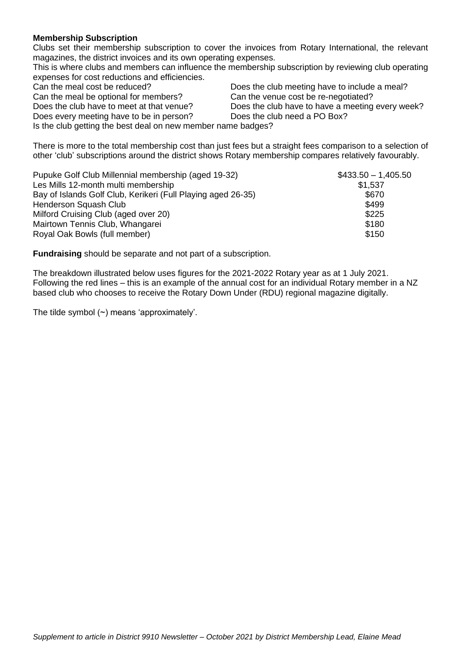#### **Membership Subscription**

Clubs set their membership subscription to cover the invoices from Rotary International, the relevant magazines, the district invoices and its own operating expenses.

This is where clubs and members can influence the membership subscription by reviewing club operating expenses for cost reductions and efficiencies.

Can the meal be optional for members? Can the venue cost be re-negotiated?

Does every meeting have to be in person? Does the club need a PO Box?

Can the meal cost be reduced? Does the club meeting have to include a meal? Does the club have to meet at that venue? Does the club have to have a meeting every week?

Is the club getting the best deal on new member name badges?

There is more to the total membership cost than just fees but a straight fees comparison to a selection of other 'club' subscriptions around the district shows Rotary membership compares relatively favourably.

| Pupuke Golf Club Millennial membership (aged 19-32)          | $$433.50 - 1,405.50$ |
|--------------------------------------------------------------|----------------------|
| Les Mills 12-month multi membership                          | \$1,537              |
| Bay of Islands Golf Club, Kerikeri (Full Playing aged 26-35) | \$670                |
| Henderson Squash Club                                        | \$499                |
| Milford Cruising Club (aged over 20)                         | \$225                |
| Mairtown Tennis Club, Whangarei                              | \$180                |
| Royal Oak Bowls (full member)                                | \$150                |

**Fundraising** should be separate and not part of a subscription.

The breakdown illustrated below uses figures for the 2021-2022 Rotary year as at 1 July 2021. Following the red lines – this is an example of the annual cost for an individual Rotary member in a NZ based club who chooses to receive the Rotary Down Under (RDU) regional magazine digitally.

The tilde symbol  $(\sim)$  means 'approximately'.